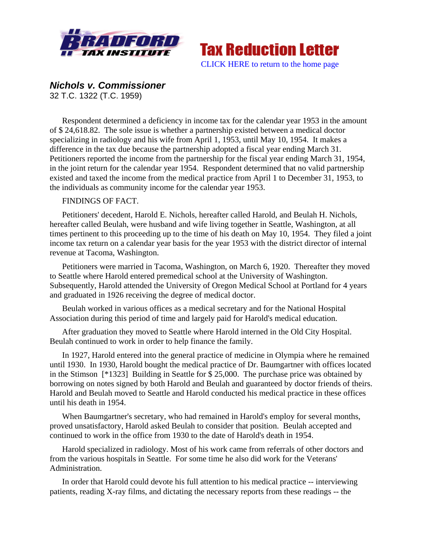



## *Nichols v. Commissioner*

32 T.C. 1322 (T.C. 1959)

Respondent determined a deficiency in income tax for the calendar year 1953 in the amount of \$ 24,618.82. The sole issue is whether a partnership existed between a medical doctor specializing in radiology and his wife from April 1, 1953, until May 10, 1954. It makes a difference in the tax due because the partnership adopted a fiscal year ending March 31. Petitioners reported the income from the partnership for the fiscal year ending March 31, 1954, in the joint return for the calendar year 1954. Respondent determined that no valid partnership existed and taxed the income from the medical practice from April 1 to December 31, 1953, to the individuals as community income for the calendar year 1953.

## FINDINGS OF FACT.

Petitioners' decedent, Harold E. Nichols, hereafter called Harold, and Beulah H. Nichols, hereafter called Beulah, were husband and wife living together in Seattle, Washington, at all times pertinent to this proceeding up to the time of his death on May 10, 1954. They filed a joint income tax return on a calendar year basis for the year 1953 with the district director of internal revenue at Tacoma, Washington.

Petitioners were married in Tacoma, Washington, on March 6, 1920. Thereafter they moved to Seattle where Harold entered premedical school at the University of Washington. Subsequently, Harold attended the University of Oregon Medical School at Portland for 4 years and graduated in 1926 receiving the degree of medical doctor.

Beulah worked in various offices as a medical secretary and for the National Hospital Association during this period of time and largely paid for Harold's medical education.

After graduation they moved to Seattle where Harold interned in the Old City Hospital. Beulah continued to work in order to help finance the family.

In 1927, Harold entered into the general practice of medicine in Olympia where he remained until 1930. In 1930, Harold bought the medical practice of Dr. Baumgartner with offices located in the Stimson [\*1323] Building in Seattle for \$ 25,000. The purchase price was obtained by borrowing on notes signed by both Harold and Beulah and guaranteed by doctor friends of theirs. Harold and Beulah moved to Seattle and Harold conducted his medical practice in these offices until his death in 1954.

When Baumgartner's secretary, who had remained in Harold's employ for several months, proved unsatisfactory, Harold asked Beulah to consider that position. Beulah accepted and continued to work in the office from 1930 to the date of Harold's death in 1954.

Harold specialized in radiology. Most of his work came from referrals of other doctors and from the various hospitals in Seattle. For some time he also did work for the Veterans' Administration.

In order that Harold could devote his full attention to his medical practice -- interviewing patients, reading X-ray films, and dictating the necessary reports from these readings -- the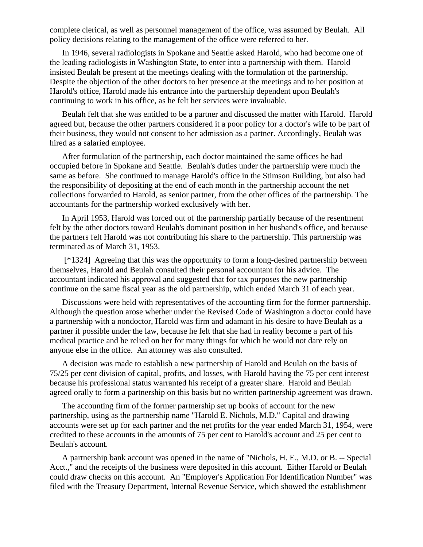complete clerical, as well as personnel management of the office, was assumed by Beulah. All policy decisions relating to the management of the office were referred to her.

In 1946, several radiologists in Spokane and Seattle asked Harold, who had become one of the leading radiologists in Washington State, to enter into a partnership with them. Harold insisted Beulah be present at the meetings dealing with the formulation of the partnership. Despite the objection of the other doctors to her presence at the meetings and to her position at Harold's office, Harold made his entrance into the partnership dependent upon Beulah's continuing to work in his office, as he felt her services were invaluable.

Beulah felt that she was entitled to be a partner and discussed the matter with Harold. Harold agreed but, because the other partners considered it a poor policy for a doctor's wife to be part of their business, they would not consent to her admission as a partner. Accordingly, Beulah was hired as a salaried employee.

After formulation of the partnership, each doctor maintained the same offices he had occupied before in Spokane and Seattle. Beulah's duties under the partnership were much the same as before. She continued to manage Harold's office in the Stimson Building, but also had the responsibility of depositing at the end of each month in the partnership account the net collections forwarded to Harold, as senior partner, from the other offices of the partnership. The accountants for the partnership worked exclusively with her.

In April 1953, Harold was forced out of the partnership partially because of the resentment felt by the other doctors toward Beulah's dominant position in her husband's office, and because the partners felt Harold was not contributing his share to the partnership. This partnership was terminated as of March 31, 1953.

 [\*1324] Agreeing that this was the opportunity to form a long-desired partnership between themselves, Harold and Beulah consulted their personal accountant for his advice. The accountant indicated his approval and suggested that for tax purposes the new partnership continue on the same fiscal year as the old partnership, which ended March 31 of each year.

Discussions were held with representatives of the accounting firm for the former partnership. Although the question arose whether under the Revised Code of Washington a doctor could have a partnership with a nondoctor, Harold was firm and adamant in his desire to have Beulah as a partner if possible under the law, because he felt that she had in reality become a part of his medical practice and he relied on her for many things for which he would not dare rely on anyone else in the office. An attorney was also consulted.

A decision was made to establish a new partnership of Harold and Beulah on the basis of 75/25 per cent division of capital, profits, and losses, with Harold having the 75 per cent interest because his professional status warranted his receipt of a greater share. Harold and Beulah agreed orally to form a partnership on this basis but no written partnership agreement was drawn.

The accounting firm of the former partnership set up books of account for the new partnership, using as the partnership name "Harold E. Nichols, M.D." Capital and drawing accounts were set up for each partner and the net profits for the year ended March 31, 1954, were credited to these accounts in the amounts of 75 per cent to Harold's account and 25 per cent to Beulah's account.

A partnership bank account was opened in the name of "Nichols, H. E., M.D. or B. -- Special Acct.," and the receipts of the business were deposited in this account. Either Harold or Beulah could draw checks on this account. An "Employer's Application For Identification Number" was filed with the Treasury Department, Internal Revenue Service, which showed the establishment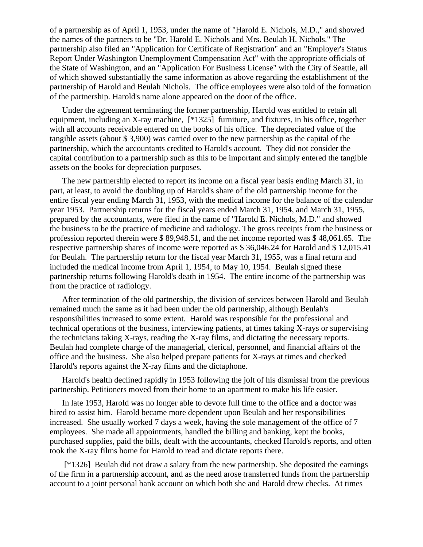of a partnership as of April 1, 1953, under the name of "Harold E. Nichols, M.D.," and showed the names of the partners to be "Dr. Harold E. Nichols and Mrs. Beulah H. Nichols." The partnership also filed an "Application for Certificate of Registration" and an "Employer's Status Report Under Washington Unemployment Compensation Act" with the appropriate officials of the State of Washington, and an "Application For Business License" with the City of Seattle, all of which showed substantially the same information as above regarding the establishment of the partnership of Harold and Beulah Nichols. The office employees were also told of the formation of the partnership. Harold's name alone appeared on the door of the office.

Under the agreement terminating the former partnership, Harold was entitled to retain all equipment, including an X-ray machine, [\*1325] furniture, and fixtures, in his office, together with all accounts receivable entered on the books of his office. The depreciated value of the tangible assets (about \$ 3,900) was carried over to the new partnership as the capital of the partnership, which the accountants credited to Harold's account. They did not consider the capital contribution to a partnership such as this to be important and simply entered the tangible assets on the books for depreciation purposes.

The new partnership elected to report its income on a fiscal year basis ending March 31, in part, at least, to avoid the doubling up of Harold's share of the old partnership income for the entire fiscal year ending March 31, 1953, with the medical income for the balance of the calendar year 1953. Partnership returns for the fiscal years ended March 31, 1954, and March 31, 1955, prepared by the accountants, were filed in the name of "Harold E. Nichols, M.D." and showed the business to be the practice of medicine and radiology. The gross receipts from the business or profession reported therein were \$ 89,948.51, and the net income reported was \$ 48,061.65. The respective partnership shares of income were reported as \$ 36,046.24 for Harold and \$ 12,015.41 for Beulah. The partnership return for the fiscal year March 31, 1955, was a final return and included the medical income from April 1, 1954, to May 10, 1954. Beulah signed these partnership returns following Harold's death in 1954. The entire income of the partnership was from the practice of radiology.

After termination of the old partnership, the division of services between Harold and Beulah remained much the same as it had been under the old partnership, although Beulah's responsibilities increased to some extent. Harold was responsible for the professional and technical operations of the business, interviewing patients, at times taking X-rays or supervising the technicians taking X-rays, reading the X-ray films, and dictating the necessary reports. Beulah had complete charge of the managerial, clerical, personnel, and financial affairs of the office and the business. She also helped prepare patients for X-rays at times and checked Harold's reports against the X-ray films and the dictaphone.

Harold's health declined rapidly in 1953 following the jolt of his dismissal from the previous partnership. Petitioners moved from their home to an apartment to make his life easier.

In late 1953, Harold was no longer able to devote full time to the office and a doctor was hired to assist him. Harold became more dependent upon Beulah and her responsibilities increased. She usually worked 7 days a week, having the sole management of the office of 7 employees. She made all appointments, handled the billing and banking, kept the books, purchased supplies, paid the bills, dealt with the accountants, checked Harold's reports, and often took the X-ray films home for Harold to read and dictate reports there.

 [\*1326] Beulah did not draw a salary from the new partnership. She deposited the earnings of the firm in a partnership account, and as the need arose transferred funds from the partnership account to a joint personal bank account on which both she and Harold drew checks. At times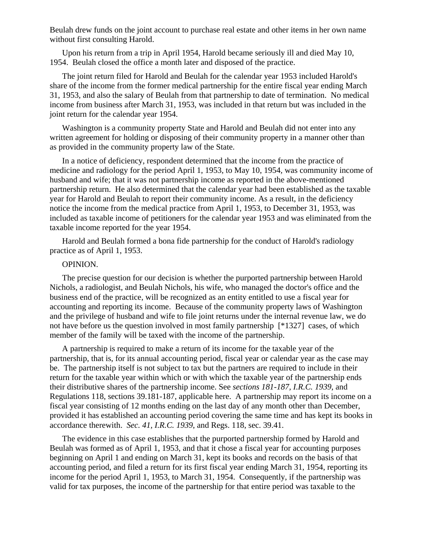Beulah drew funds on the joint account to purchase real estate and other items in her own name without first consulting Harold.

Upon his return from a trip in April 1954, Harold became seriously ill and died May 10, 1954. Beulah closed the office a month later and disposed of the practice.

The joint return filed for Harold and Beulah for the calendar year 1953 included Harold's share of the income from the former medical partnership for the entire fiscal year ending March 31, 1953, and also the salary of Beulah from that partnership to date of termination. No medical income from business after March 31, 1953, was included in that return but was included in the joint return for the calendar year 1954.

Washington is a community property State and Harold and Beulah did not enter into any written agreement for holding or disposing of their community property in a manner other than as provided in the community property law of the State.

In a notice of deficiency, respondent determined that the income from the practice of medicine and radiology for the period April 1, 1953, to May 10, 1954, was community income of husband and wife; that it was not partnership income as reported in the above-mentioned partnership return. He also determined that the calendar year had been established as the taxable year for Harold and Beulah to report their community income. As a result, in the deficiency notice the income from the medical practice from April 1, 1953, to December 31, 1953, was included as taxable income of petitioners for the calendar year 1953 and was eliminated from the taxable income reported for the year 1954.

Harold and Beulah formed a bona fide partnership for the conduct of Harold's radiology practice as of April 1, 1953.

## OPINION.

The precise question for our decision is whether the purported partnership between Harold Nichols, a radiologist, and Beulah Nichols, his wife, who managed the doctor's office and the business end of the practice, will be recognized as an entity entitled to use a fiscal year for accounting and reporting its income. Because of the community property laws of Washington and the privilege of husband and wife to file joint returns under the internal revenue law, we do not have before us the question involved in most family partnership [\*1327] cases, of which member of the family will be taxed with the income of the partnership.

A partnership is required to make a return of its income for the taxable year of the partnership, that is, for its annual accounting period, fiscal year or calendar year as the case may be. The partnership itself is not subject to tax but the partners are required to include in their return for the taxable year within which or with which the taxable year of the partnership ends their distributive shares of the partnership income. See *sections 181-187, I.R.C. 1939*, and Regulations 118, sections 39.181-187, applicable here. A partnership may report its income on a fiscal year consisting of 12 months ending on the last day of any month other than December, provided it has established an accounting period covering the same time and has kept its books in accordance therewith. *Sec. 41, I.R.C. 1939*, and Regs. 118, sec. 39.41.

The evidence in this case establishes that the purported partnership formed by Harold and Beulah was formed as of April 1, 1953, and that it chose a fiscal year for accounting purposes beginning on April 1 and ending on March 31, kept its books and records on the basis of that accounting period, and filed a return for its first fiscal year ending March 31, 1954, reporting its income for the period April 1, 1953, to March 31, 1954. Consequently, if the partnership was valid for tax purposes, the income of the partnership for that entire period was taxable to the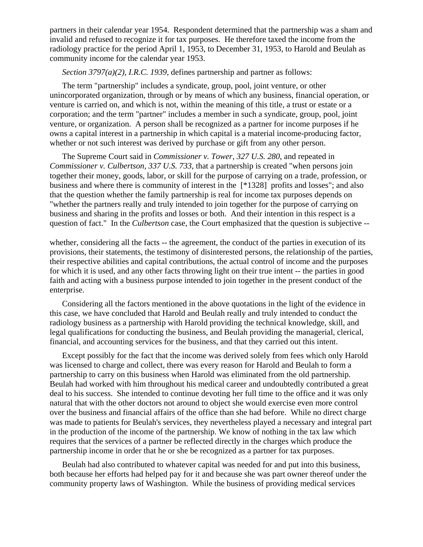partners in their calendar year 1954. Respondent determined that the partnership was a sham and invalid and refused to recognize it for tax purposes. He therefore taxed the income from the radiology practice for the period April 1, 1953, to December 31, 1953, to Harold and Beulah as community income for the calendar year 1953.

*Section 3797(a)(2), I.R.C. 1939*, defines partnership and partner as follows:

The term "partnership" includes a syndicate, group, pool, joint venture, or other unincorporated organization, through or by means of which any business, financial operation, or venture is carried on, and which is not, within the meaning of this title, a trust or estate or a corporation; and the term "partner" includes a member in such a syndicate, group, pool, joint venture, or organization. A person shall be recognized as a partner for income purposes if he owns a capital interest in a partnership in which capital is a material income-producing factor, whether or not such interest was derived by purchase or gift from any other person.

The Supreme Court said in *Commissioner v. Tower, 327 U.S. 280*, and repeated in *Commissioner v. Culbertson, 337 U.S. 733*, that a partnership is created "when persons join together their money, goods, labor, or skill for the purpose of carrying on a trade, profession, or business and where there is community of interest in the [\*1328] profits and losses"; and also that the question whether the family partnership is real for income tax purposes depends on "whether the partners really and truly intended to join together for the purpose of carrying on business and sharing in the profits and losses or both. And their intention in this respect is a question of fact." In the *Culbertson* case, the Court emphasized that the question is subjective --

whether, considering all the facts -- the agreement, the conduct of the parties in execution of its provisions, their statements, the testimony of disinterested persons, the relationship of the parties, their respective abilities and capital contributions, the actual control of income and the purposes for which it is used, and any other facts throwing light on their true intent -- the parties in good faith and acting with a business purpose intended to join together in the present conduct of the enterprise.

Considering all the factors mentioned in the above quotations in the light of the evidence in this case, we have concluded that Harold and Beulah really and truly intended to conduct the radiology business as a partnership with Harold providing the technical knowledge, skill, and legal qualifications for conducting the business, and Beulah providing the managerial, clerical, financial, and accounting services for the business, and that they carried out this intent.

Except possibly for the fact that the income was derived solely from fees which only Harold was licensed to charge and collect, there was every reason for Harold and Beulah to form a partnership to carry on this business when Harold was eliminated from the old partnership. Beulah had worked with him throughout his medical career and undoubtedly contributed a great deal to his success. She intended to continue devoting her full time to the office and it was only natural that with the other doctors not around to object she would exercise even more control over the business and financial affairs of the office than she had before. While no direct charge was made to patients for Beulah's services, they nevertheless played a necessary and integral part in the production of the income of the partnership. We know of nothing in the tax law which requires that the services of a partner be reflected directly in the charges which produce the partnership income in order that he or she be recognized as a partner for tax purposes.

Beulah had also contributed to whatever capital was needed for and put into this business, both because her efforts had helped pay for it and because she was part owner thereof under the community property laws of Washington. While the business of providing medical services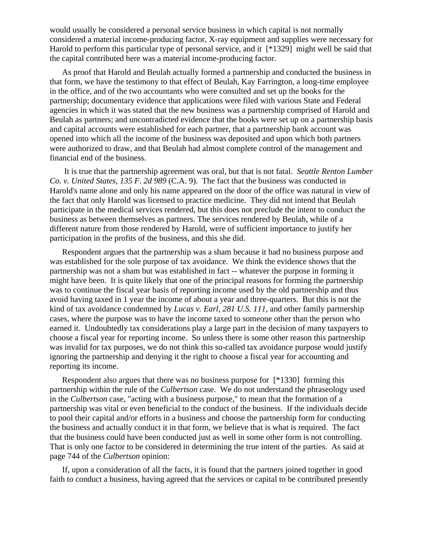would usually be considered a personal service business in which capital is not normally considered a material income-producing factor, X-ray equipment and supplies were necessary for Harold to perform this particular type of personal service, and it [\*1329] might well be said that the capital contributed here was a material income-producing factor.

As proof that Harold and Beulah actually formed a partnership and conducted the business in that form, we have the testimony to that effect of Beulah, Kay Farrington, a long-time employee in the office, and of the two accountants who were consulted and set up the books for the partnership; documentary evidence that applications were filed with various State and Federal agencies in which it was stated that the new business was a partnership comprised of Harold and Beulah as partners; and uncontradicted evidence that the books were set up on a partnership basis and capital accounts were established for each partner, that a partnership bank account was opened into which all the income of the business was deposited and upon which both partners were authorized to draw, and that Beulah had almost complete control of the management and financial end of the business.

 It is true that the partnership agreement was oral, but that is not fatal. *Seattle Renton Lumber Co. v. United States, 135 F. 2d 989* (C.A. 9). The fact that the business was conducted in Harold's name alone and only his name appeared on the door of the office was natural in view of the fact that only Harold was licensed to practice medicine. They did not intend that Beulah participate in the medical services rendered, but this does not preclude the intent to conduct the business as between themselves as partners. The services rendered by Beulah, while of a different nature from those rendered by Harold, were of sufficient importance to justify her participation in the profits of the business, and this she did.

Respondent argues that the partnership was a sham because it had no business purpose and was established for the sole purpose of tax avoidance. We think the evidence shows that the partnership was not a sham but was established in fact -- whatever the purpose in forming it might have been. It is quite likely that one of the principal reasons for forming the partnership was to continue the fiscal year basis of reporting income used by the old partnership and thus avoid having taxed in 1 year the income of about a year and three-quarters. But this is not the kind of tax avoidance condemned by *Lucas v. Earl, 281 U.S. 111*, and other family partnership cases, where the purpose was to have the income taxed to someone other than the person who earned it. Undoubtedly tax considerations play a large part in the decision of many taxpayers to choose a fiscal year for reporting income. So unless there is some other reason this partnership was invalid for tax purposes, we do not think this so-called tax avoidance purpose would justify ignoring the partnership and denying it the right to choose a fiscal year for accounting and reporting its income.

Respondent also argues that there was no business purpose for [\*1330] forming this partnership within the rule of the *Culbertson* case. We do not understand the phraseology used in the *Culbertson* case, "acting with a business purpose," to mean that the formation of a partnership was vital or even beneficial to the conduct of the business. If the individuals decide to pool their capital and/or efforts in a business and choose the partnership form for conducting the business and actually conduct it in that form, we believe that is what is required. The fact that the business could have been conducted just as well in some other form is not controlling. That is only one factor to be considered in determining the true intent of the parties. As said at page 744 of the *Culbertson* opinion:

If, upon a consideration of all the facts, it is found that the partners joined together in good faith to conduct a business, having agreed that the services or capital to be contributed presently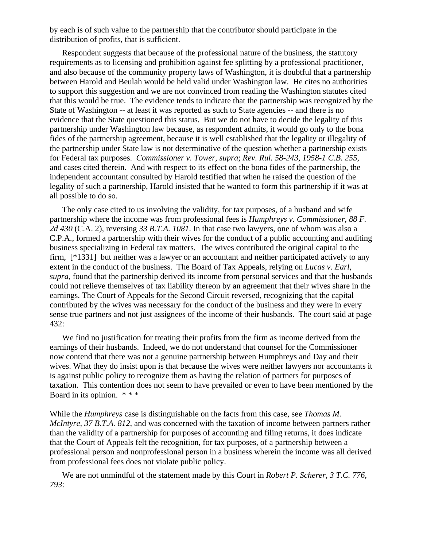by each is of such value to the partnership that the contributor should participate in the distribution of profits, that is sufficient.

Respondent suggests that because of the professional nature of the business, the statutory requirements as to licensing and prohibition against fee splitting by a professional practitioner, and also because of the community property laws of Washington, it is doubtful that a partnership between Harold and Beulah would be held valid under Washington law. He cites no authorities to support this suggestion and we are not convinced from reading the Washington statutes cited that this would be true. The evidence tends to indicate that the partnership was recognized by the State of Washington -- at least it was reported as such to State agencies -- and there is no evidence that the State questioned this status. But we do not have to decide the legality of this partnership under Washington law because, as respondent admits, it would go only to the bona fides of the partnership agreement, because it is well established that the legality or illegality of the partnership under State law is not determinative of the question whether a partnership exists for Federal tax purposes. *Commissioner v. Tower, supra*; *Rev. Rul. 58-243, 1958-1 C.B. 255*, and cases cited therein. And with respect to its effect on the bona fides of the partnership, the independent accountant consulted by Harold testified that when he raised the question of the legality of such a partnership, Harold insisted that he wanted to form this partnership if it was at all possible to do so.

The only case cited to us involving the validity, for tax purposes, of a husband and wife partnership where the income was from professional fees is *Humphreys v. Commissioner, 88 F. 2d 430* (C.A. 2), reversing *33 B.T.A. 1081*. In that case two lawyers, one of whom was also a C.P.A., formed a partnership with their wives for the conduct of a public accounting and auditing business specializing in Federal tax matters. The wives contributed the original capital to the firm, [\*1331] but neither was a lawyer or an accountant and neither participated actively to any extent in the conduct of the business. The Board of Tax Appeals, relying on *Lucas v. Earl, supra*, found that the partnership derived its income from personal services and that the husbands could not relieve themselves of tax liability thereon by an agreement that their wives share in the earnings. The Court of Appeals for the Second Circuit reversed, recognizing that the capital contributed by the wives was necessary for the conduct of the business and they were in every sense true partners and not just assignees of the income of their husbands. The court said at page 432:

We find no justification for treating their profits from the firm as income derived from the earnings of their husbands. Indeed, we do not understand that counsel for the Commissioner now contend that there was not a genuine partnership between Humphreys and Day and their wives. What they do insist upon is that because the wives were neither lawyers nor accountants it is against public policy to recognize them as having the relation of partners for purposes of taxation. This contention does not seem to have prevailed or even to have been mentioned by the Board in its opinion. \* \* \*

While the *Humphreys* case is distinguishable on the facts from this case, see *Thomas M. McIntyre, 37 B.T.A. 812*, and was concerned with the taxation of income between partners rather than the validity of a partnership for purposes of accounting and filing returns, it does indicate that the Court of Appeals felt the recognition, for tax purposes, of a partnership between a professional person and nonprofessional person in a business wherein the income was all derived from professional fees does not violate public policy.

We are not unmindful of the statement made by this Court in *Robert P. Scherer, 3 T.C. 776, 793*: